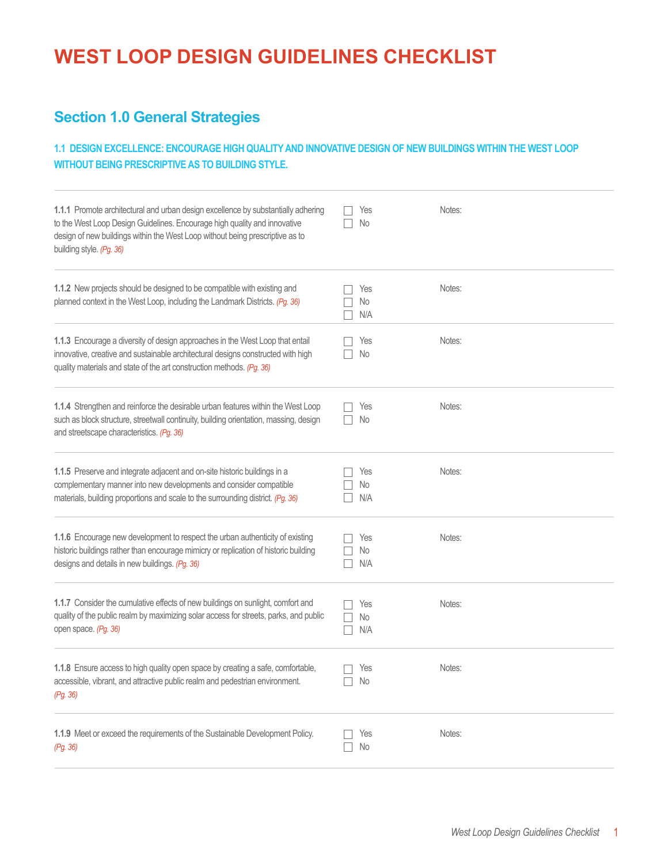# **WEST LOOP DESIGN GUIDELINES CHECKLIST**

## **Section 1.0 General Strategies**

#### **1.1 DESIGN EXCELLENCE: ENCOURAGE HIGH QUALITY AND INNOVATIVE DESIGN OF NEW BUILDINGS WITHIN THE WEST LOOP WITHOUT BEING PRESCRIPTIVE AS TO BUILDING STYLE.**

| 1.1.1 Promote architectural and urban design excellence by substantially adhering<br>to the West Loop Design Guidelines. Encourage high quality and innovative<br>design of new buildings within the West Loop without being prescriptive as to<br>building style. (Pg. 36) | Yes<br>No        | Notes: |
|-----------------------------------------------------------------------------------------------------------------------------------------------------------------------------------------------------------------------------------------------------------------------------|------------------|--------|
| 1.1.2 New projects should be designed to be compatible with existing and<br>planned context in the West Loop, including the Landmark Districts. (Pg. 36)                                                                                                                    | Yes<br>No<br>N/A | Notes: |
| 1.1.3 Encourage a diversity of design approaches in the West Loop that entail<br>innovative, creative and sustainable architectural designs constructed with high<br>quality materials and state of the art construction methods. (Pg. 36)                                  | Yes<br>No        | Notes: |
| 1.1.4 Strengthen and reinforce the desirable urban features within the West Loop<br>such as block structure, streetwall continuity, building orientation, massing, design<br>and streetscape characteristics. (Pg. 36)                                                      | Yes<br>No        | Notes: |
| 1.1.5 Preserve and integrate adjacent and on-site historic buildings in a<br>complementary manner into new developments and consider compatible<br>materials, building proportions and scale to the surrounding district. (Pg. 36)                                          | Yes<br>No<br>N/A | Notes: |
| 1.1.6 Encourage new development to respect the urban authenticity of existing<br>historic buildings rather than encourage mimicry or replication of historic building<br>designs and details in new buildings. (Pg. 36)                                                     | Yes<br>No<br>N/A | Notes: |
| 1.1.7 Consider the cumulative effects of new buildings on sunlight, comfort and<br>quality of the public realm by maximizing solar access for streets, parks, and public<br>open space. (Pg. 36)                                                                            | Yes<br>No<br>N/A | Notes: |
| 1.1.8 Ensure access to high quality open space by creating a safe, comfortable,<br>accessible, vibrant, and attractive public realm and pedestrian environment.<br>(Pg. 36)                                                                                                 | Yes<br>$\Box$ No | Notes: |
| 1.1.9 Meet or exceed the requirements of the Sustainable Development Policy.<br>(Pg. 36)                                                                                                                                                                                    | Yes<br>No        | Notes: |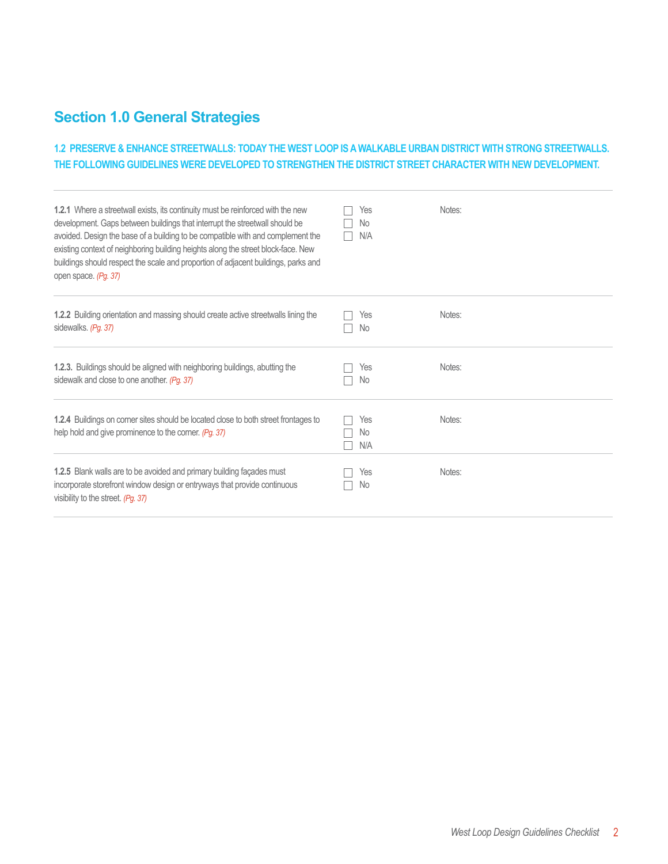## **Section 1.0 General Strategies**

### **1.2 PRESERVE & ENHANCE STREETWALLS: TODAY THE WEST LOOP IS A WALKABLE URBAN DISTRICT WITH STRONG STREETWALLS. THE FOLLOWING GUIDELINES WERE DEVELOPED TO STRENGTHEN THE DISTRICT STREET CHARACTER WITH NEW DEVELOPMENT.**

| 1.2.1 Where a streetwall exists, its continuity must be reinforced with the new<br>development. Gaps between buildings that interrupt the streetwall should be<br>avoided. Design the base of a building to be compatible with and complement the<br>existing context of neighboring building heights along the street block-face. New<br>buildings should respect the scale and proportion of adjacent buildings, parks and<br>open space. (Pg. 37) | Yes<br>No<br>N/A | Notes: |
|------------------------------------------------------------------------------------------------------------------------------------------------------------------------------------------------------------------------------------------------------------------------------------------------------------------------------------------------------------------------------------------------------------------------------------------------------|------------------|--------|
| <b>1.2.2</b> Building orientation and massing should create active streetwalls lining the<br>sidewalks. (Pg. 37)                                                                                                                                                                                                                                                                                                                                     | Yes<br>No.       | Notes: |
| 1.2.3. Buildings should be aligned with neighboring buildings, abutting the<br>sidewalk and close to one another. (Pg. 37)                                                                                                                                                                                                                                                                                                                           | Yes<br><b>No</b> | Notes: |
| 1.2.4 Buildings on comer sites should be located close to both street frontages to<br>help hold and give prominence to the corner. (Pg. 37)                                                                                                                                                                                                                                                                                                          | Yes<br>No<br>N/A | Notes: |
| 1.2.5 Blank walls are to be avoided and primary building façades must<br>incorporate storefront window design or entryways that provide continuous<br>visibility to the street. (Pg. 37)                                                                                                                                                                                                                                                             | Yes<br>No.       | Notes: |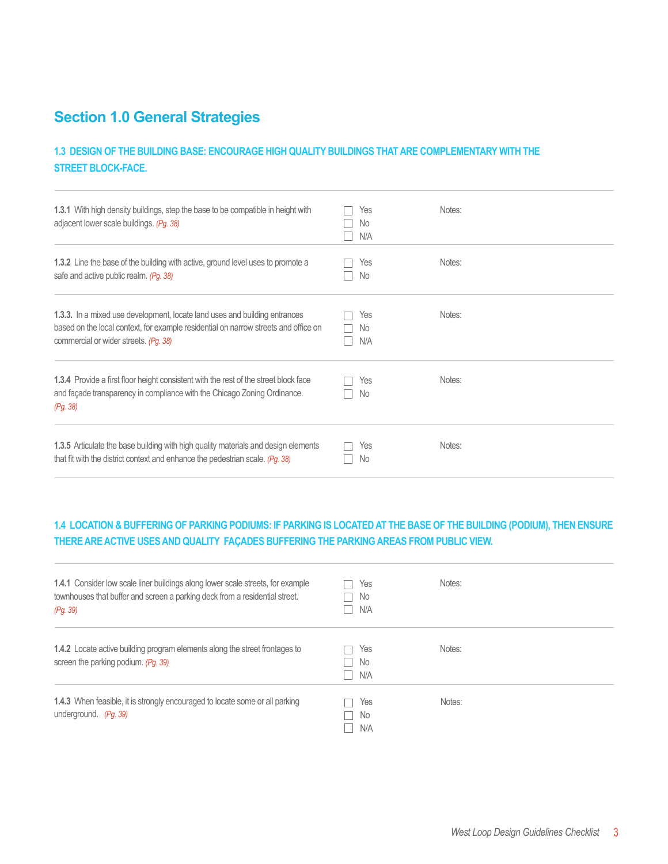## **Section 1.0 General Strategies**

### **1.3 DESIGN OF THE BUILDING BASE: ENCOURAGE HIGH QUALITY BUILDINGS THAT ARE COMPLEMENTARY WITH THE STREET BLOCK-FACE.**

| 1.3.1 With high density buildings, step the base to be compatible in height with<br>adjacent lower scale buildings. (Pg. 38)                                                                                      | Yes<br>No.<br>N/A | Notes: |
|-------------------------------------------------------------------------------------------------------------------------------------------------------------------------------------------------------------------|-------------------|--------|
| <b>1.3.2</b> Line the base of the building with active, ground level uses to promote a<br>safe and active public realm. (Pg. 38)                                                                                  | Yes<br>No.        | Notes: |
| <b>1.3.3.</b> In a mixed use development, locate land uses and building entrances<br>based on the local context, for example residential on narrow streets and office on<br>commercial or wider streets. (Pg. 38) | Yes<br>No.<br>N/A | Notes: |
| 1.3.4 Provide a first floor height consistent with the rest of the street block face<br>and façade transparency in compliance with the Chicago Zoning Ordinance.<br>(Pg. 38)                                      | Yes<br>No.        | Notes: |
| 1.3.5 Articulate the base building with high quality materials and design elements<br>that fit with the district context and enhance the pedestrian scale. (Pg. 38)                                               | Yes<br>No         | Notes: |

### **1.4 LOCATION & BUFFERING OF PARKING PODIUMS: IF PARKING IS LOCATED AT THE BASE OF THE BUILDING (PODIUM), THEN ENSURE THERE ARE ACTIVE USES AND QUALITY FAÇADES BUFFERING THE PARKING AREAS FROM PUBLIC VIEW.**

| <b>1.4.1</b> Consider low scale liner buildings along lower scale streets, for example<br>townhouses that buffer and screen a parking deck from a residential street.<br>(Pq. 39) | Yes<br>No.<br>N/A | Notes: |
|-----------------------------------------------------------------------------------------------------------------------------------------------------------------------------------|-------------------|--------|
| 1.4.2 Locate active building program elements along the street frontages to<br>screen the parking podium. (Pg. 39)                                                                | Yes<br>No<br>N/A  | Notes: |
| <b>1.4.3</b> When feasible, it is strongly encouraged to locate some or all parking<br>underground. (Pg. 39)                                                                      | Yes<br>No.<br>N/A | Notes: |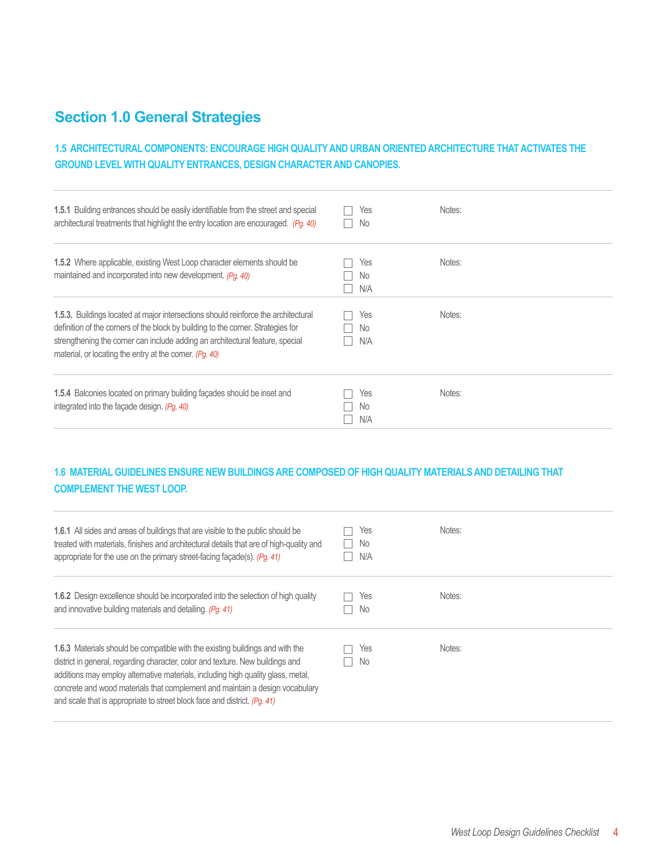## **Section 1.0 General Strategies**

### **1.5 ARCHITECTURAL COMPONENTS: ENCOURAGE HIGH QUALITY AND URBAN ORIENTED ARCHITECTURE THAT ACTIVATES THE GROUND LEVEL WITH QUALITY ENTRANCES, DESIGN CHARACTER AND CANOPIES.**

| <b>1.5.1</b> Building entrances should be easily identifiable from the street and special<br>architectural treatments that highlight the entry location are encouraged. (Pg. 40)                                                                                                                                          | Yes<br>No.        | Notes: |  |
|---------------------------------------------------------------------------------------------------------------------------------------------------------------------------------------------------------------------------------------------------------------------------------------------------------------------------|-------------------|--------|--|
| 1.5.2 Where applicable, existing West Loop character elements should be<br>maintained and incorporated into new development. (Pq. 40)                                                                                                                                                                                     | Yes<br>No.<br>N/A | Notes: |  |
| <b>1.5.3.</b> Buildings located at major intersections should reinforce the architectural<br>definition of the corners of the block by building to the corner. Strategies for<br>strengthening the corner can include adding an architectural feature, special<br>material, or locating the entry at the corner. (Pg. 40) | Yes<br>No.<br>N/A | Notes: |  |
| <b>1.5.4</b> Balconies located on primary building façades should be inset and<br>integrated into the façade design. (Pg. 40)                                                                                                                                                                                             | Yes<br>No.<br>N/A | Notes: |  |

### **1.6 MATERIAL GUIDELINES ENSURE NEW BUILDINGS ARE COMPOSED OF HIGH QUALITY MATERIALS AND DETAILING THAT COMPLEMENT THE WEST LOOP.**

| <b>1.6.1</b> All sides and areas of buildings that are visible to the public should be<br>treated with materials, finishes and architectural details that are of high-quality and<br>appropriate for the use on the primary street-facing facade(s). $(Pq. 41)$                                                                                                                                                  | Yes<br>No<br>N/A | Notes: |
|------------------------------------------------------------------------------------------------------------------------------------------------------------------------------------------------------------------------------------------------------------------------------------------------------------------------------------------------------------------------------------------------------------------|------------------|--------|
| <b>1.6.2</b> Design excellence should be incorporated into the selection of high quality<br>and innovative building materials and detailing. (Pg. 41)                                                                                                                                                                                                                                                            | Yes<br>No.       | Notes: |
| 1.6.3 Materials should be compatible with the existing buildings and with the<br>district in general, regarding character, color and texture. New buildings and<br>additions may employ alternative materials, including high quality glass, metal,<br>concrete and wood materials that complement and maintain a design vocabulary<br>and scale that is appropriate to street block face and district. (Pq. 41) | Yes<br>No.       | Notes: |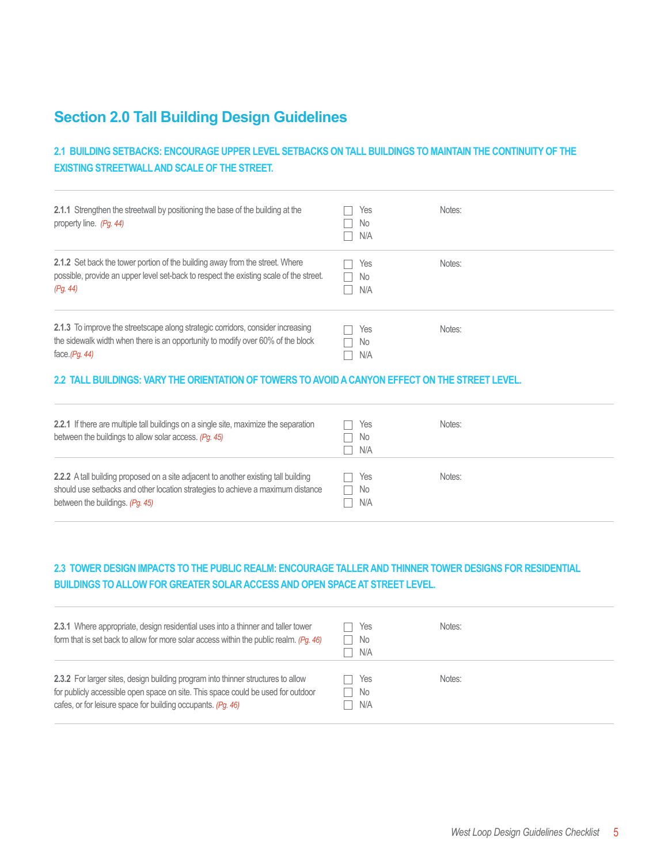## **Section 2.0 Tall Building Design Guidelines**

### **2.1 BUILDING SETBACKS: ENCOURAGE UPPER LEVEL SETBACKS ON TALL BUILDINGS TO MAINTAIN THE CONTINUITY OF THE EXISTING STREETWALL AND SCALE OF THE STREET.**

| 2.1.1 Strengthen the streetwall by positioning the base of the building at the<br>property line. (Pg. 44)                                                                                 | Notes:<br>Yes<br>No<br>N/A                 |  |
|-------------------------------------------------------------------------------------------------------------------------------------------------------------------------------------------|--------------------------------------------|--|
| <b>2.1.2</b> Set back the tower portion of the building away from the street. Where<br>possible, provide an upper level set-back to respect the existing scale of the street.<br>(Pq. 44) | Notes:<br>Yes<br>No<br>N/A                 |  |
| 2.1.3 To improve the streetscape along strategic corridors, consider increasing<br>the sidewalk width when there is an opportunity to modify over 60% of the block<br>face. $(Pg. 44)$    | Notes:<br>Yes<br>No<br>$\mathbf{I}$<br>N/A |  |

#### **2.2 TALL BUILDINGS: VARY THE ORIENTATION OF TOWERS TO AVOID A CANYON EFFECT ON THE STREET LEVEL.**

| 2.2.1 If there are multiple tall buildings on a single site, maximize the separation<br>between the buildings to allow solar access. (Pg. 45)                                                                    | Yes<br>No<br>N/A | Notes: |
|------------------------------------------------------------------------------------------------------------------------------------------------------------------------------------------------------------------|------------------|--------|
| <b>2.2.2</b> A tall building proposed on a site adjacent to another existing tall building<br>should use setbacks and other location strategies to achieve a maximum distance<br>between the buildings. (Pq. 45) | Yes<br>No<br>N/A | Notes: |

#### **2.3 TOWER DESIGN IMPACTS TO THE PUBLIC REALM: ENCOURAGE TALLER AND THINNER TOWER DESIGNS FOR RESIDENTIAL BUILDINGS TO ALLOW FOR GREATER SOLAR ACCESS AND OPEN SPACE AT STREET LEVEL.**

| 2.3.1 Where appropriate, design residential uses into a thinner and taller tower<br>form that is set back to allow for more solar access within the public realm. (Pg. 46)                                                           | Yes<br>No<br>N/A | Notes: |
|--------------------------------------------------------------------------------------------------------------------------------------------------------------------------------------------------------------------------------------|------------------|--------|
| 2.3.2 For larger sites, design building program into thinner structures to allow<br>for publicly accessible open space on site. This space could be used for outdoor<br>cafes, or for leisure space for building occupants. (Pg. 46) | Yes<br>No<br>N/A | Notes: |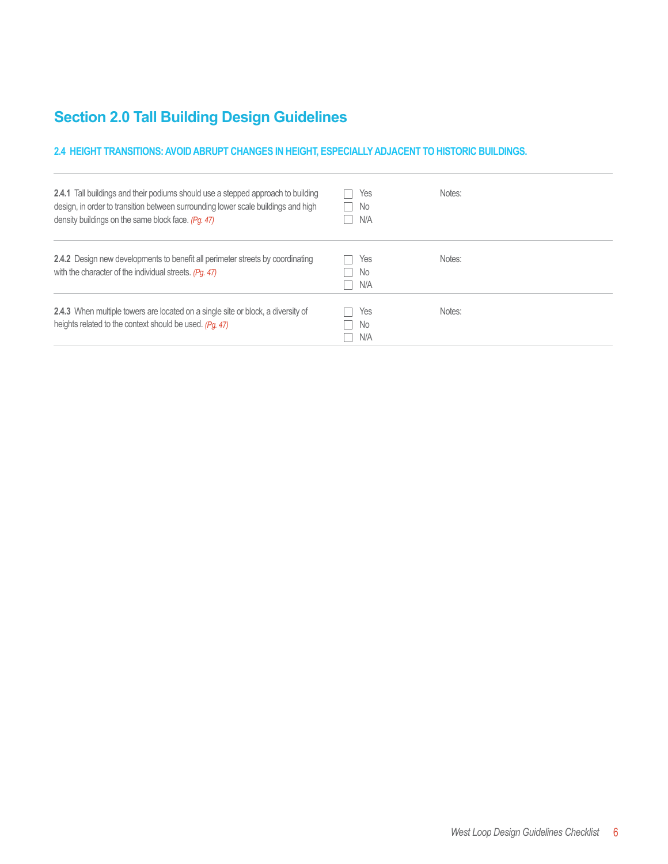# **Section 2.0 Tall Building Design Guidelines**

#### **2.4 HEIGHT TRANSITIONS: AVOID ABRUPT CHANGES IN HEIGHT, ESPECIALLY ADJACENT TO HISTORIC BUILDINGS.**

| <b>2.4.1</b> Tall buildings and their podiums should use a stepped approach to building<br>design, in order to transition between surrounding lower scale buildings and high<br>density buildings on the same block face. (Pg. 47) | Yes<br>No.<br>N/A | Notes: |
|------------------------------------------------------------------------------------------------------------------------------------------------------------------------------------------------------------------------------------|-------------------|--------|
| <b>2.4.2</b> Design new developments to benefit all perimeter streets by coordinating<br>with the character of the individual streets. (Pq. 47)                                                                                    | Yes<br>No.<br>N/A | Notes: |
| 2.4.3 When multiple towers are located on a single site or block, a diversity of<br>heights related to the context should be used. (Pq. 47)                                                                                        | Yes<br>No.<br>N/A | Notes: |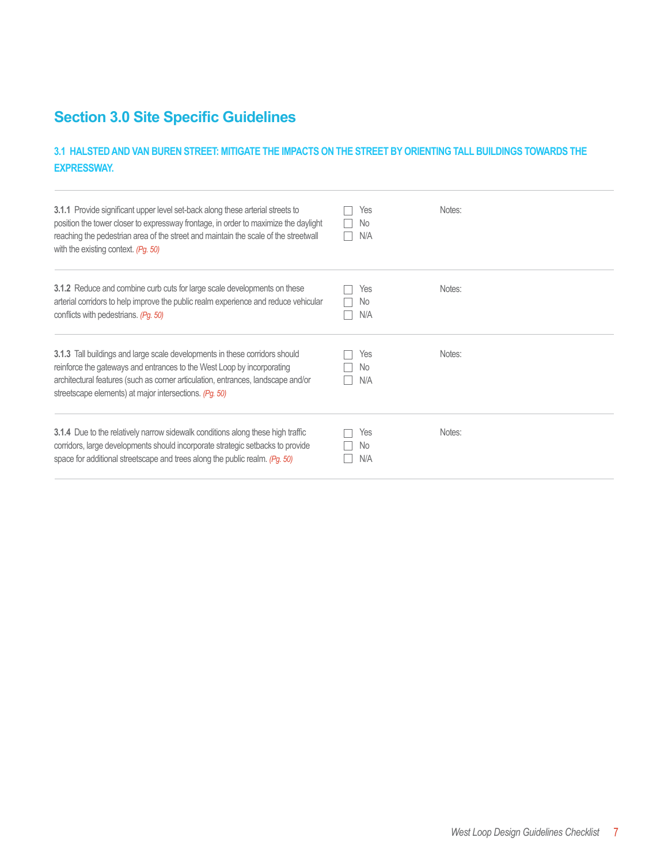### **3.1 HALSTED AND VAN BUREN STREET: MITIGATE THE IMPACTS ON THE STREET BY ORIENTING TALL BUILDINGS TOWARDS THE EXPRESSWAY.**

| <b>3.1.1</b> Provide significant upper level set-back along these arterial streets to<br>position the tower closer to expressway frontage, in order to maximize the daylight<br>reaching the pedestrian area of the street and maintain the scale of the streetwall<br>with the existing context. (Pg. 50) | Yes<br>No.<br>N/A | Notes: |
|------------------------------------------------------------------------------------------------------------------------------------------------------------------------------------------------------------------------------------------------------------------------------------------------------------|-------------------|--------|
| <b>3.1.2</b> Reduce and combine curb cuts for large scale developments on these<br>arterial corridors to help improve the public realm experience and reduce vehicular<br>conflicts with pedestrians. (Pg. 50)                                                                                             | Yes<br>No<br>N/A  | Notes: |
| <b>3.1.3</b> Tall buildings and large scale developments in these corridors should<br>reinforce the gateways and entrances to the West Loop by incorporating<br>architectural features (such as corner articulation, entrances, landscape and/or<br>streetscape elements) at major intersections. (Pg. 50) | Yes<br>No.<br>N/A | Notes: |
| 3.1.4 Due to the relatively narrow sidewalk conditions along these high traffic<br>corridors, large developments should incorporate strategic setbacks to provide<br>space for additional streetscape and trees along the public realm. (Pq. 50)                                                           | Yes<br>No.<br>N/A | Notes: |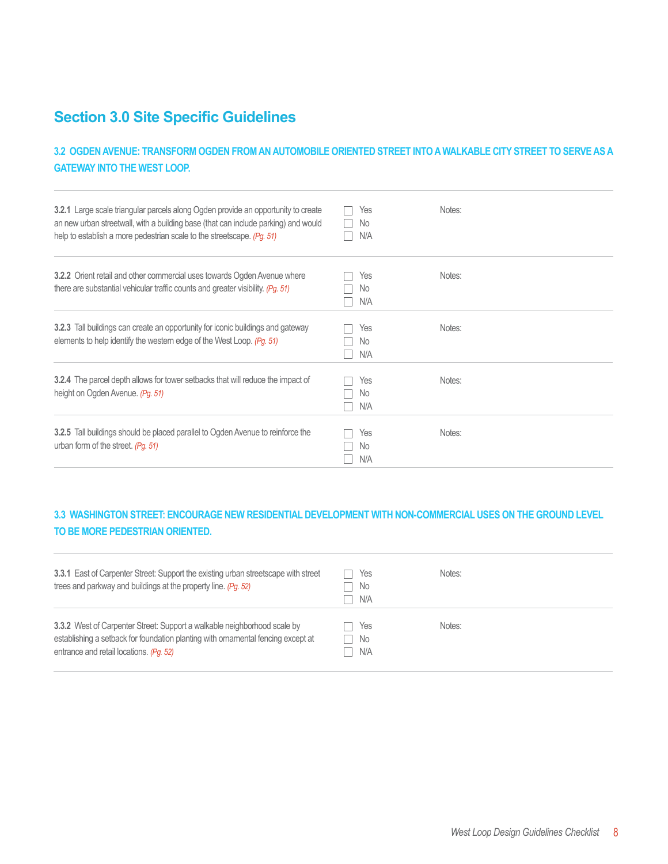### **3.2 OGDEN AVENUE: TRANSFORM OGDEN FROM AN AUTOMOBILE ORIENTED STREET INTO A WALKABLE CITY STREET TO SERVE AS A GATEWAY INTO THE WEST LOOP.**

| <b>3.2.1</b> Large scale triangular parcels along Ogden provide an opportunity to create<br>an new urban streetwall, with a building base (that can include parking) and would<br>help to establish a more pedestrian scale to the streetscape. (Pg. 51) | Yes<br>No.<br>N/A       | Notes: |
|----------------------------------------------------------------------------------------------------------------------------------------------------------------------------------------------------------------------------------------------------------|-------------------------|--------|
| <b>3.2.2</b> Orient retail and other commercial uses towards Ogden Avenue where<br>there are substantial vehicular traffic counts and greater visibility. (Pg. 51)                                                                                       | Yes<br>No.<br>N/A       | Notes: |
| <b>3.2.3</b> Tall buildings can create an opportunity for iconic buildings and gateway<br>elements to help identify the western edge of the West Loop. (Pg. 51)                                                                                          | Yes<br>No.<br>N/A       | Notes: |
| <b>3.2.4</b> The parcel depth allows for tower setbacks that will reduce the impact of<br>height on Ogden Avenue. (Pg. 51)                                                                                                                               | Yes<br><b>No</b><br>N/A | Notes: |
| 3.2.5 Tall buildings should be placed parallel to Ogden Avenue to reinforce the<br>urban form of the street. (Pg. 51)                                                                                                                                    | Yes<br>No.<br>N/A       | Notes: |

### **3.3 WASHINGTON STREET: ENCOURAGE NEW RESIDENTIAL DEVELOPMENT WITH NON-COMMERCIAL USES ON THE GROUND LEVEL TO BE MORE PEDESTRIAN ORIENTED.**

| 3.3.1 East of Carpenter Street: Support the existing urban streetscape with street<br>trees and parkway and buildings at the property line. (Pg. 52)                                                    | Yes<br>. No<br>N/A | Notes: |
|---------------------------------------------------------------------------------------------------------------------------------------------------------------------------------------------------------|--------------------|--------|
| 3.3.2 West of Carpenter Street: Support a walkable neighborhood scale by<br>establishing a setback for foundation planting with ornamental fencing except at<br>entrance and retail locations. (Pq. 52) | Yes<br>- No<br>N/A | Notes: |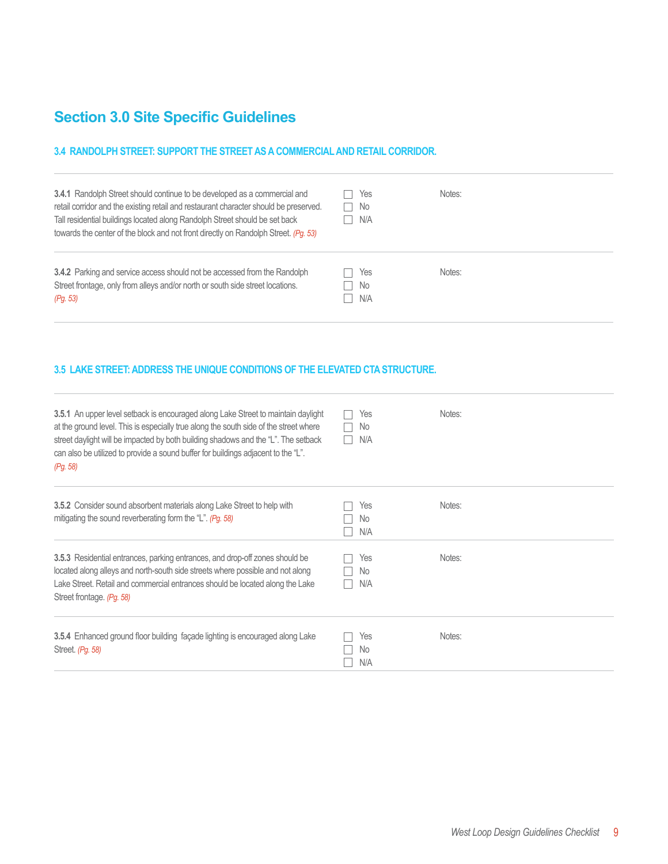#### **3.4 RANDOLPH STREET: SUPPORT THE STREET AS A COMMERCIAL AND RETAIL CORRIDOR.**

| <b>3.4.1</b> Randolph Street should continue to be developed as a commercial and<br>retail corridor and the existing retail and restaurant character should be preserved.<br>Tall residential buildings located along Randolph Street should be set back<br>towards the center of the block and not front directly on Randolph Street. (Pg. 53) | Yes<br>- No<br>×.<br>N/A | Notes: |
|-------------------------------------------------------------------------------------------------------------------------------------------------------------------------------------------------------------------------------------------------------------------------------------------------------------------------------------------------|--------------------------|--------|
| 3.4.2 Parking and service access should not be accessed from the Randolph<br>Street frontage, only from alleys and/or north or south side street locations.<br>(Pg. 53)                                                                                                                                                                         | Yes<br>No.<br>N/A        | Notes: |

#### **3.5 LAKE STREET: ADDRESS THE UNIQUE CONDITIONS OF THE ELEVATED CTA STRUCTURE.**

| <b>3.5.1</b> An upper level setback is encouraged along Lake Street to maintain daylight<br>at the ground level. This is especially true along the south side of the street where<br>street daylight will be impacted by both building shadows and the "L". The setback<br>can also be utilized to provide a sound buffer for buildings adjacent to the "L".<br>(Pg. 58) | Yes<br>No<br>N/A  | Notes: |
|--------------------------------------------------------------------------------------------------------------------------------------------------------------------------------------------------------------------------------------------------------------------------------------------------------------------------------------------------------------------------|-------------------|--------|
| 3.5.2 Consider sound absorbent materials along Lake Street to help with<br>mitigating the sound reverberating form the "L". $(Pg. 58)$                                                                                                                                                                                                                                   | Yes<br>No.<br>N/A | Notes: |
| <b>3.5.3</b> Residential entrances, parking entrances, and drop-off zones should be<br>located along alleys and north-south side streets where possible and not along<br>Lake Street. Retail and commercial entrances should be located along the Lake<br>Street frontage. (Pg. 58)                                                                                      | Yes<br>No.<br>N/A | Notes: |
| <b>3.5.4</b> Enhanced ground floor building facade lighting is encouraged along Lake<br>Street. (Pg. 58)                                                                                                                                                                                                                                                                 | Yes<br>No.<br>N/A | Notes: |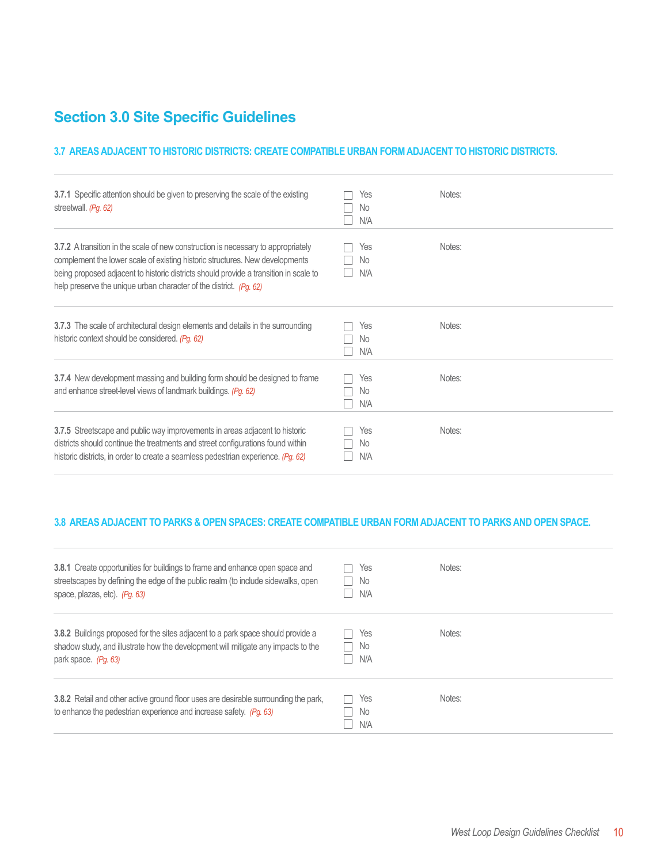#### **3.7 AREAS ADJACENT TO HISTORIC DISTRICTS: CREATE COMPATIBLE URBAN FORM ADJACENT TO HISTORIC DISTRICTS.**

| 3.7.1 Specific attention should be given to preserving the scale of the existing<br>streetwall. (Pg. 62)                                                                                                                                                                                                                         | Yes<br>No.<br>N/A | Notes: |
|----------------------------------------------------------------------------------------------------------------------------------------------------------------------------------------------------------------------------------------------------------------------------------------------------------------------------------|-------------------|--------|
| 3.7.2 A transition in the scale of new construction is necessary to appropriately<br>complement the lower scale of existing historic structures. New developments<br>being proposed adjacent to historic districts should provide a transition in scale to<br>help preserve the unique urban character of the district. (Pg. 62) | Yes<br>No<br>N/A  | Notes: |
| 3.7.3 The scale of architectural design elements and details in the surrounding<br>historic context should be considered. (Pg. 62)                                                                                                                                                                                               | Yes<br>No.<br>N/A | Notes: |
| 3.7.4 New development massing and building form should be designed to frame<br>and enhance street-level views of landmark buildings. (Pg. 62)                                                                                                                                                                                    | Yes<br>No.<br>N/A | Notes: |
| 3.7.5 Streetscape and public way improvements in areas adjacent to historic<br>districts should continue the treatments and street configurations found within<br>historic districts, in order to create a seamless pedestrian experience. (Pg. 62)                                                                              | Yes<br>No<br>N/A  | Notes: |

#### **3.8 AREAS ADJACENT TO PARKS & OPEN SPACES: CREATE COMPATIBLE URBAN FORM ADJACENT TO PARKS AND OPEN SPACE.**

| 3.8.1 Create opportunities for buildings to frame and enhance open space and<br>streetscapes by defining the edge of the public realm (to include sidewalks, open<br>space, plazas, etc). (Pq. 63)   | Yes<br>No.<br>N/A | Notes: |
|------------------------------------------------------------------------------------------------------------------------------------------------------------------------------------------------------|-------------------|--------|
| <b>3.8.2</b> Buildings proposed for the sites adjacent to a park space should provide a<br>shadow study, and illustrate how the development will mitigate any impacts to the<br>park space. (Pq. 63) | Yes<br>No.<br>N/A | Notes: |
| 3.8.2 Retail and other active ground floor uses are desirable surrounding the park,<br>to enhance the pedestrian experience and increase safety. (Pq. 63)                                            | Yes<br>No.<br>N/A | Notes: |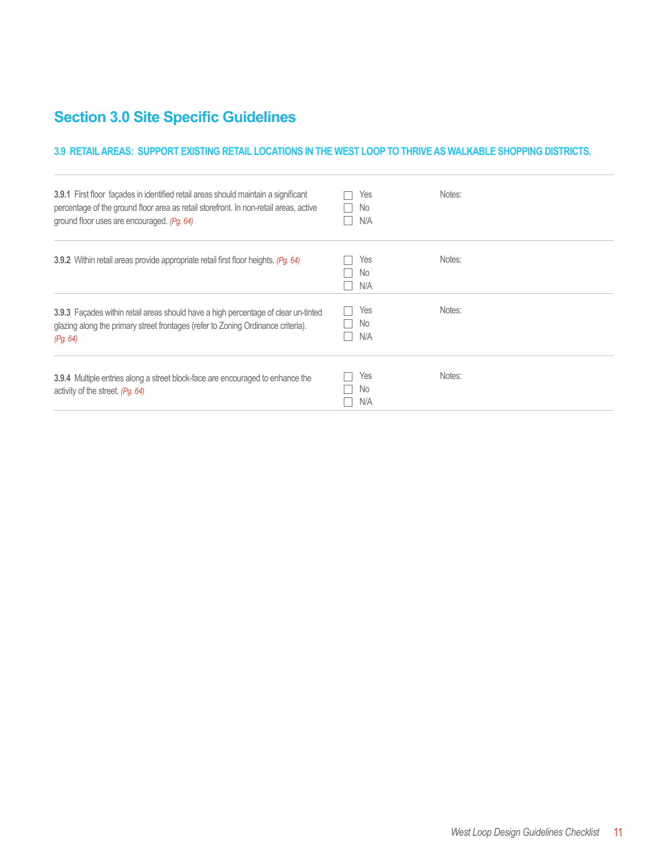#### **3.9 RETAIL AREAS: SUPPORT EXISTING RETAIL LOCATIONS IN THE WEST LOOP TO THRIVE AS WALKABLE SHOPPING DISTRICTS.**

| <b>3.9.1</b> First floor facades in identified retail areas should maintain a significant<br>percentage of the ground floor area as retail storefront. In non-retail areas, active<br>ground floor uses are encouraged. (Pg. 64) | Yes<br>No.<br>N/A | Notes: |
|----------------------------------------------------------------------------------------------------------------------------------------------------------------------------------------------------------------------------------|-------------------|--------|
| 3.9.2 Within retail areas provide appropriate retail first floor heights. (Pg. 64)                                                                                                                                               | Yes<br>No.<br>N/A | Notes: |
| 3.9.3 Façades within retail areas should have a high percentage of clear un-tinted<br>glazing along the primary street frontages (refer to Zoning Ordinance criteria).<br>(Pq. 64)                                               | Yes<br>No.<br>N/A | Notes: |
| <b>3.9.4</b> Multiple entries along a street block-face are encouraged to enhance the<br>activity of the street. (Pg. 64)                                                                                                        | Yes<br>No.<br>N/A | Notes: |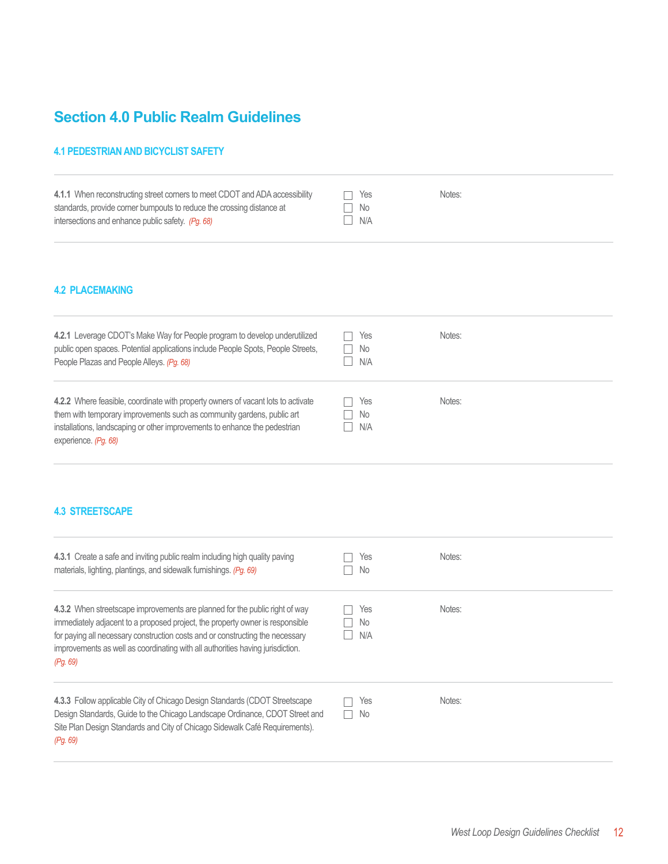## **Section 4.0 Public Realm Guidelines**

#### **4.1 PEDESTRIAN AND BICYCLIST SAFETY**

| 4.1.1 When reconstructing street corners to meet CDOT and ADA accessibility | Yes  | Notes: |
|-----------------------------------------------------------------------------|------|--------|
| standards, provide comer bumpouts to reduce the crossing distance at        | ⊤ No |        |
| intersections and enhance public safety. (Pq. 68)                           | N/A  |        |

#### **4.2 PLACEMAKING**

| 4.2.1 Leverage CDOT's Make Way for People program to develop underutilized<br>public open spaces. Potential applications include People Spots, People Streets,<br>People Plazas and People Alleys. (Pg. 68)                                                      | Yes<br>No.<br>N/A        | Notes: |
|------------------------------------------------------------------------------------------------------------------------------------------------------------------------------------------------------------------------------------------------------------------|--------------------------|--------|
| 4.2.2 Where feasible, coordinate with property owners of vacant lots to activate<br>them with temporary improvements such as community gardens, public art<br>installations, landscaping or other improvements to enhance the pedestrian<br>experience. (Pq. 68) | Yes<br>- No<br>×.<br>N/A | Notes: |

#### **4.3 STREETSCAPE**

| 4.3.1 Create a safe and inviting public realm including high quality paving<br>materials, lighting, plantings, and sidewalk furnishings. (Pg. 69)                                                                                                                                                                                           | Yes<br>No         | Notes: |
|---------------------------------------------------------------------------------------------------------------------------------------------------------------------------------------------------------------------------------------------------------------------------------------------------------------------------------------------|-------------------|--------|
| 4.3.2 When streetscape improvements are planned for the public right of way<br>immediately adjacent to a proposed project, the property owner is responsible<br>for paying all necessary construction costs and or constructing the necessary<br>improvements as well as coordinating with all authorities having jurisdiction.<br>(Pg. 69) | Yes<br>No.<br>N/A | Notes: |
| 4.3.3 Follow applicable City of Chicago Design Standards (CDOT Streetscape<br>Design Standards, Guide to the Chicago Landscape Ordinance, CDOT Street and<br>Site Plan Design Standards and City of Chicago Sidewalk Café Requirements).<br>(Pg. 69)                                                                                        | Yes<br>No<br>- 1  | Notes: |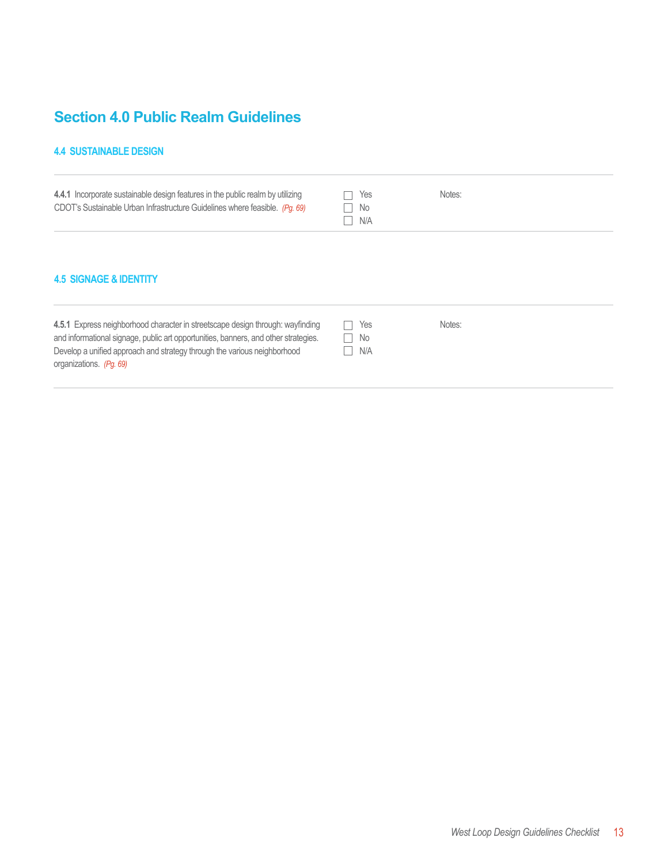### **Section 4.0 Public Realm Guidelines**

Develop a unified approach and strategy through the various neighborhood

#### **4.4 SUSTAINABLE DESIGN**

organizations. *(Pg. 69)*

| 4.4.1 Incorporate sustainable design features in the public realm by utilizing<br>CDOT's Sustainable Urban Infrastructure Guidelines where feasible. (Pg. 69)         | Yes<br>No.<br>N/A | Notes: |  |
|-----------------------------------------------------------------------------------------------------------------------------------------------------------------------|-------------------|--------|--|
| <b>4.5 SIGNAGE &amp; IDENTITY</b>                                                                                                                                     |                   |        |  |
| 4.5.1 Express neighborhood character in streetscape design through: wayfinding<br>and informational signage, public art opportunities, banners, and other strategies. | Yes<br>No         | Notes: |  |

N/A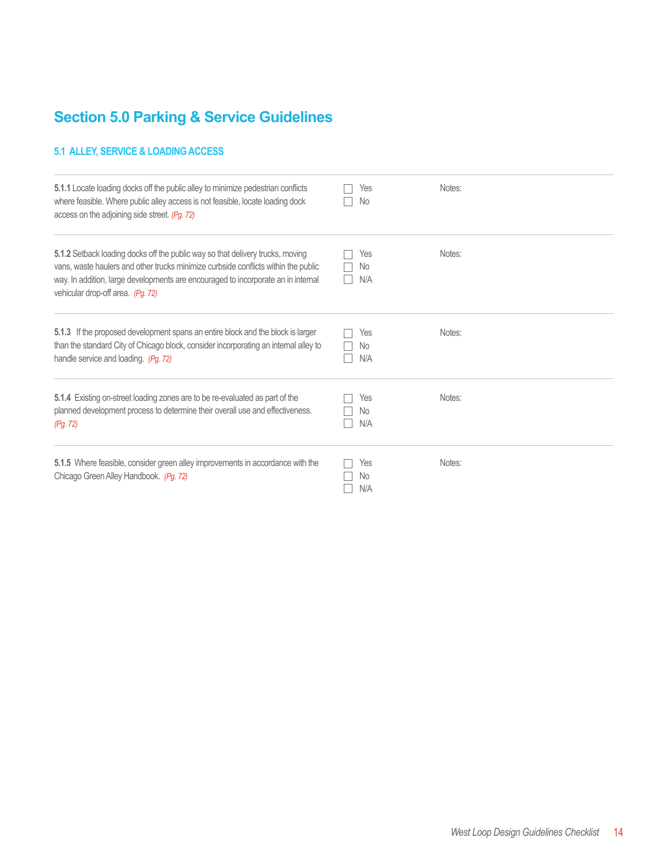## **Section 5.0 Parking & Service Guidelines**

#### **5.1 ALLEY, SERVICE & LOADING ACCESS**

| 5.1.1 Locate loading docks off the public alley to minimize pedestrian conflicts<br>where feasible. Where public alley access is not feasible, locate loading dock<br>access on the adjoining side street. (Pg. 72)                                                                            | Yes<br>No.              | Notes: |
|------------------------------------------------------------------------------------------------------------------------------------------------------------------------------------------------------------------------------------------------------------------------------------------------|-------------------------|--------|
| 5.1.2 Setback loading docks off the public way so that delivery trucks, moving<br>vans, waste haulers and other trucks minimize curbside conflicts within the public<br>way. In addition, large developments are encouraged to incorporate an in internal<br>vehicular drop-off area. (Pg. 72) | Yes<br>No<br>N/A        | Notes: |
| 5.1.3 If the proposed development spans an entire block and the block is larger<br>than the standard City of Chicago block, consider incorporating an internal alley to<br>handle service and loading. (Pg. 72)                                                                                | Yes<br>No.<br>N/A       | Notes: |
| 5.1.4 Existing on-street loading zones are to be re-evaluated as part of the<br>planned development process to determine their overall use and effectiveness.<br>(Pg. 72)                                                                                                                      | Yes<br><b>No</b><br>N/A | Notes: |
| 5.1.5 Where feasible, consider green alley improvements in accordance with the<br>Chicago Green Alley Handbook. (Pg. 72)                                                                                                                                                                       | Yes<br>No<br>N/A        | Notes: |